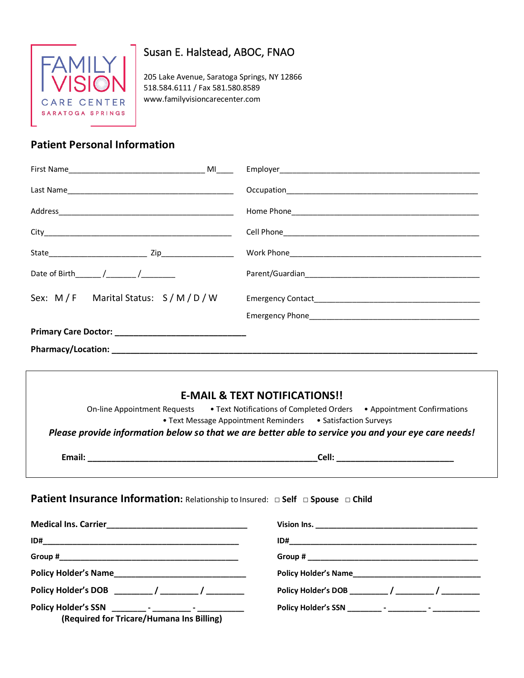

# Susan E. Halstead, ABOC, FNAO

205 Lake Avenue, Saratoga Springs, NY 12866 518.584.6111 / Fax 581.580.8589 www.familyvisioncarecenter.com

## **Patient Personal Information**

| Date of Birth / /                |  |
|----------------------------------|--|
| Sex: M/F Marital Status: S/M/D/W |  |
|                                  |  |
|                                  |  |
|                                  |  |

# **E-MAIL & TEXT NOTIFICATIONS!!** On-line Appointment Requests • Text Notifications of Completed Orders • Appointment Confirmations • Text Message Appointment Reminders • Satisfaction Surveys *Please provide information below so that we are better able to service you and your eye care needs!* **Email: Cell: Cell: Cell: Cell: Cell: Cell: Cell: Cell: Cell: Cell: Cell: Cell: Cell: Cell: Cell: Cell: Cell: Cell: Cell: Cell: Cell: Cell: Cell: Cell: Cell: Cell: Cell Patient Insurance Information:** Relationship to Insured: **□ Self □ Spouse □ Child Medical Ins. Carrier\_\_\_\_\_\_\_\_\_\_\_\_\_\_\_\_\_\_\_\_\_\_\_\_\_\_\_\_\_\_\_\_\_ Vision Ins. \_\_\_\_\_\_\_\_\_\_\_\_\_\_\_\_\_\_\_\_\_\_\_\_\_\_\_\_\_\_\_\_\_\_\_\_\_\_ ID#\_\_\_\_\_\_\_\_\_\_\_\_\_\_\_\_\_\_\_\_\_\_\_\_\_\_\_\_\_\_\_\_\_\_\_\_\_\_\_\_\_\_\_\_\_\_ ID#\_\_\_\_\_\_\_\_\_\_\_\_\_\_\_\_\_\_\_\_\_\_\_\_\_\_\_\_\_\_\_\_\_\_\_\_\_\_\_\_\_\_\_\_**

**Policy Holder's Name\_\_\_\_\_\_\_\_\_\_\_\_\_\_\_\_\_\_\_\_\_\_\_\_\_\_\_\_\_\_\_ Policy Holder's Name\_\_\_\_\_\_\_\_\_\_\_\_\_\_\_\_\_\_\_\_\_\_\_\_\_\_\_\_\_\_**

**Policy Holder's DOB \_\_\_\_\_\_\_\_\_ / \_\_\_\_\_\_\_\_\_ / \_\_\_\_\_\_\_\_\_ Policy Holder's DOB \_\_\_\_\_\_\_\_\_ / \_\_\_\_\_\_\_\_\_ / \_\_\_\_\_\_\_\_\_**

**Policy Holder's SSN \_\_\_\_\_\_\_\_ - \_\_\_\_\_\_\_\_\_ - \_\_\_\_\_\_\_\_\_\_\_ Policy Holder's SSN \_\_\_\_\_\_\_\_ - \_\_\_\_\_\_\_\_\_ - \_\_\_\_\_\_\_\_\_\_\_**

**Group #**  $\qquad \qquad$  **Group #**  $\qquad \qquad$  **3.1**  $\qquad \qquad$  **5.1**  $\qquad \qquad$  **5.1**  $\qquad \qquad$  **5.1**  $\qquad \qquad$  **5.1**  $\qquad \qquad$  **5.1**  $\qquad \qquad$  **5.1**  $\qquad \qquad$  **5.1**  $\qquad \qquad$  **5.1**  $\qquad \qquad$  **5.1**  $\qquad \qquad$  **5.1**  $\qquad \qquad$  **5.1**  $\qquad \qquad$  **5.1**  $\qquad \qquad$  **5.1**  $\qquad \qquad$  **5.1** 

**(Required for Tricare/Humana Ins Billing)**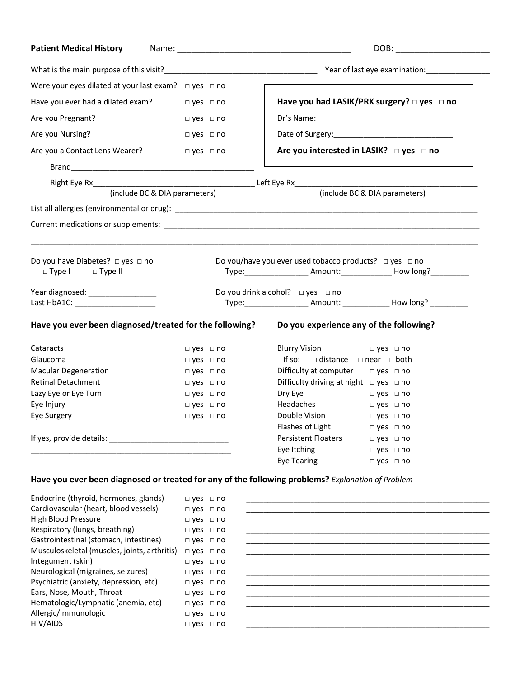| <b>Patient Medical History</b>                                                                                  |                                                                                                                                                                                                                         | DOB:                                                                                              |  |
|-----------------------------------------------------------------------------------------------------------------|-------------------------------------------------------------------------------------------------------------------------------------------------------------------------------------------------------------------------|---------------------------------------------------------------------------------------------------|--|
|                                                                                                                 |                                                                                                                                                                                                                         |                                                                                                   |  |
| Were your eyes dilated at your last exam? $\Box$ yes $\Box$ no                                                  |                                                                                                                                                                                                                         |                                                                                                   |  |
| Have you ever had a dilated exam? $\Box$ yes $\Box$ no                                                          |                                                                                                                                                                                                                         | Have you had LASIK/PRK surgery? $\square$ yes $\square$ no                                        |  |
| Are you Pregnant?                                                                                               | $\Box$ yes $\Box$ no                                                                                                                                                                                                    |                                                                                                   |  |
| Are you Nursing?                                                                                                | $\square$ yes $\square$ no                                                                                                                                                                                              |                                                                                                   |  |
| Are you a Contact Lens Wearer?                                                                                  | $\square$ yes $\square$ no                                                                                                                                                                                              | Are you interested in LASIK? $\Box$ yes $\Box$ no                                                 |  |
|                                                                                                                 |                                                                                                                                                                                                                         |                                                                                                   |  |
|                                                                                                                 |                                                                                                                                                                                                                         |                                                                                                   |  |
| (include BC & DIA parameters)                                                                                   | (include BC & DIA parameters)                                                                                                                                                                                           |                                                                                                   |  |
|                                                                                                                 |                                                                                                                                                                                                                         |                                                                                                   |  |
|                                                                                                                 |                                                                                                                                                                                                                         |                                                                                                   |  |
|                                                                                                                 |                                                                                                                                                                                                                         |                                                                                                   |  |
| Do you have Diabetes? $\Box$ yes $\Box$ no<br>$\Box$ Type I $\Box$ Type II<br>Year diagnosed: _________________ | Do you/have you ever used tobacco products? $\Box$ yes $\Box$ no<br>Type: _____________________ Amount: ________________ How long? ___________<br>Do you drink alcohol? $\Box$ yes $\Box$ no<br>Type: Amount: How long? |                                                                                                   |  |
| Have you ever been diagnosed/treated for the following?                                                         |                                                                                                                                                                                                                         | Do you experience any of the following?                                                           |  |
| Cataracts                                                                                                       | $\Box$ yes $\Box$ no                                                                                                                                                                                                    | Blurry Vision □ yes □ no                                                                          |  |
| Glaucoma                                                                                                        | $\Box$ yes $\Box$ no                                                                                                                                                                                                    | If so: $\Box$ distance $\Box$ near $\Box$ both                                                    |  |
| <b>Macular Degeneration</b>                                                                                     | $\Box$ yes $\Box$ no                                                                                                                                                                                                    | Difficulty at computer $\Box$ yes $\Box$ no                                                       |  |
| <b>Retinal Detachment</b>                                                                                       | $\Box$ yes $\Box$ no                                                                                                                                                                                                    | Difficulty driving at night $\Box$ yes $\Box$ no                                                  |  |
| Lazy Eye or Eye Turn                                                                                            | $\Box$ yes $\Box$ no                                                                                                                                                                                                    | Dry Eye<br>$\Box$ yes $\Box$ no                                                                   |  |
| Eye Injury                                                                                                      | $\Box$ yes $\Box$ no                                                                                                                                                                                                    | Headaches<br>$\Box$ yes $\Box$ no                                                                 |  |
| Eye Surgery                                                                                                     | $\Box$ yes $\Box$ no                                                                                                                                                                                                    | Double Vision<br>$\Box$ yes $\Box$ no                                                             |  |
|                                                                                                                 |                                                                                                                                                                                                                         | Flashes of Light<br>$\Box$ yes $\Box$ no                                                          |  |
|                                                                                                                 |                                                                                                                                                                                                                         | Persistent Floaters<br>$\Box$ yes $\Box$ no                                                       |  |
| the control of the control of the control of the control of the control of the control of                       |                                                                                                                                                                                                                         | Eye Itching<br>$\square$ yes $\square$ no                                                         |  |
|                                                                                                                 |                                                                                                                                                                                                                         | <b>Eye Tearing</b><br>$\Box$ yes $\Box$ no                                                        |  |
|                                                                                                                 |                                                                                                                                                                                                                         |                                                                                                   |  |
|                                                                                                                 |                                                                                                                                                                                                                         | Have you ever been diagnosed or treated for any of the following problems? Explanation of Problem |  |
| Endocrine (thyroid, hormones, glands)                                                                           | $\Box$ yes $\Box$ no                                                                                                                                                                                                    |                                                                                                   |  |

| Cardiovascular (heart, blood vessels)        | $\Box$ yes $\Box$ I |  |
|----------------------------------------------|---------------------|--|
| High Blood Pressure                          | $\Box$ yes $\Box$ I |  |
| Respiratory (lungs, breathing)               | $\Box$ yes $\Box$ I |  |
| Gastrointestinal (stomach, intestines)       | $\Box$ yes $\Box$ I |  |
| Musculoskeletal (muscles, joints, arthritis) | $\Box$ yes $\Box$ I |  |
| Integument (skin)                            | $\Box$ yes $\Box$ I |  |
| Neurological (migraines, seizures)           | $\Box$ yes $\Box$ I |  |
| Psychiatric (anxiety, depression, etc)       | $\Box$ yes $\Box$ I |  |
| Ears, Nose, Mouth, Throat                    | $\Box$ yes $\Box$ I |  |
| Hematologic/Lymphatic (anemia, etc)          | $\Box$ yes $\Box$ I |  |
| Allergic/Immunologic                         | $\Box$ yes $\Box$ I |  |
| HIV/AIDS                                     | $\Box$ yes $\Box$ I |  |

| Liluochile (thyroid, homioties, glanus)      | $\sqcup$ yes $\sqcup$ $\sqcup$ |  |
|----------------------------------------------|--------------------------------|--|
| Cardiovascular (heart, blood vessels)        | $\Box$ yes $\Box$ no           |  |
| <b>High Blood Pressure</b>                   | $\Box$ yes $\Box$ no           |  |
| Respiratory (lungs, breathing)               | $\Box$ yes $\Box$ no           |  |
| Gastrointestinal (stomach, intestines)       | $\Box$ yes $\Box$ no           |  |
| Musculoskeletal (muscles, joints, arthritis) | $\Box$ yes $\Box$ no           |  |
| Integument (skin)                            | $\Box$ yes $\Box$ no           |  |
| Neurological (migraines, seizures)           | $\Box$ yes $\Box$ no           |  |
| Psychiatric (anxiety, depression, etc)       | $\Box$ yes $\Box$ no           |  |
| Ears, Nose, Mouth, Throat                    | $\Box$ yes $\Box$ no           |  |
| Hematologic/Lymphatic (anemia, etc)          | $\Box$ yes $\Box$ no           |  |
| Allergic/Immunologic                         | $\Box$ yes $\Box$ no           |  |
| HIV/AIDS                                     | $\Box$ yes $\Box$ no           |  |
|                                              |                                |  |